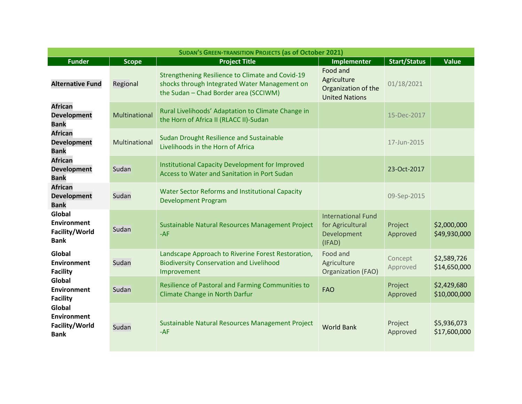| <b>SUDAN'S GREEN-TRANSITION PROJECTS (as of October 2021)</b>                                                                                                       |               |                                                                                                                                            |                                                                         |                     |                             |
|---------------------------------------------------------------------------------------------------------------------------------------------------------------------|---------------|--------------------------------------------------------------------------------------------------------------------------------------------|-------------------------------------------------------------------------|---------------------|-----------------------------|
| <b>Funder</b>                                                                                                                                                       | <b>Scope</b>  | <b>Project Title</b>                                                                                                                       | <b>Implementer</b>                                                      | <b>Start/Status</b> | <b>Value</b>                |
| <b>Alternative Fund</b>                                                                                                                                             | Regional      | Strengthening Resilience to Climate and Covid-19<br>shocks through Integrated Water Management on<br>the Sudan - Chad Border area (SCCIWM) | Food and<br>Agriculture<br>Organization of the<br><b>United Nations</b> | 01/18/2021          |                             |
| <b>African</b><br><b>Development</b><br><b>Bank</b>                                                                                                                 | Multinational | Rural Livelihoods' Adaptation to Climate Change in<br>the Horn of Africa II (RLACC II)-Sudan                                               |                                                                         | 15-Dec-2017         |                             |
| <b>African</b><br><b>Development</b><br><b>Bank</b>                                                                                                                 | Multinational | Sudan Drought Resilience and Sustainable<br>Livelihoods in the Horn of Africa                                                              |                                                                         | 17-Jun-2015         |                             |
| <b>African</b><br><b>Development</b><br><b>Bank</b>                                                                                                                 | Sudan         | Institutional Capacity Development for Improved<br><b>Access to Water and Sanitation in Port Sudan</b>                                     |                                                                         | 23-Oct-2017         |                             |
| <b>African</b><br><b>Development</b><br><b>Bank</b>                                                                                                                 | Sudan         | <b>Water Sector Reforms and Institutional Capacity</b><br><b>Development Program</b>                                                       |                                                                         | 09-Sep-2015         |                             |
| Global<br><b>Environment</b><br>Facility/World<br><b>Bank</b>                                                                                                       | Sudan         | Sustainable Natural Resources Management Project<br>$-AF$                                                                                  | <b>International Fund</b><br>for Agricultural<br>Development<br>(IFAD)  | Project<br>Approved | \$2,000,000<br>\$49,930,000 |
| Global<br><b>Environment</b><br><b>Facility</b><br>Global<br><b>Environment</b><br><b>Facility</b><br>Global<br><b>Environment</b><br>Facility/World<br><b>Bank</b> | Sudan         | Landscape Approach to Riverine Forest Restoration,<br><b>Biodiversity Conservation and Livelihood</b><br>Improvement                       | Food and<br>Agriculture<br><b>Organization (FAO)</b>                    | Concept<br>Approved | \$2,589,726<br>\$14,650,000 |
|                                                                                                                                                                     | Sudan         | Resilience of Pastoral and Farming Communities to<br><b>Climate Change in North Darfur</b>                                                 | <b>FAO</b>                                                              | Project<br>Approved | \$2,429,680<br>\$10,000,000 |
|                                                                                                                                                                     | Sudan         | Sustainable Natural Resources Management Project<br>$-AF$                                                                                  | <b>World Bank</b>                                                       | Project<br>Approved | \$5,936,073<br>\$17,600,000 |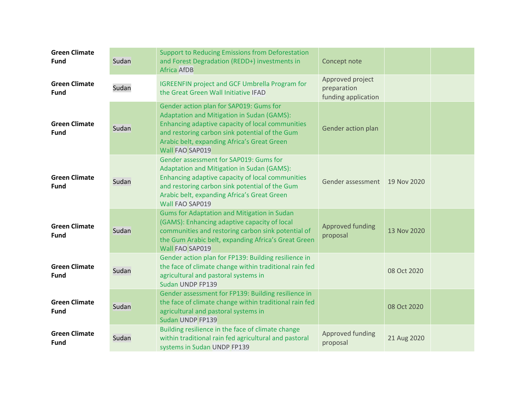| <b>Green Climate</b><br><b>Fund</b> | Sudan | <b>Support to Reducing Emissions from Deforestation</b><br>and Forest Degradation (REDD+) investments in<br><b>Africa AfDB</b>                                                                                                                                | Concept note                                           |             |  |
|-------------------------------------|-------|---------------------------------------------------------------------------------------------------------------------------------------------------------------------------------------------------------------------------------------------------------------|--------------------------------------------------------|-------------|--|
| <b>Green Climate</b><br><b>Fund</b> | Sudan | <b>IGREENFIN project and GCF Umbrella Program for</b><br>the Great Green Wall Initiative IFAD                                                                                                                                                                 | Approved project<br>preparation<br>funding application |             |  |
| <b>Green Climate</b><br><b>Fund</b> | Sudan | Gender action plan for SAP019: Gums for<br>Adaptation and Mitigation in Sudan (GAMS):<br>Enhancing adaptive capacity of local communities<br>and restoring carbon sink potential of the Gum<br>Arabic belt, expanding Africa's Great Green<br>Wall FAO SAP019 | Gender action plan                                     |             |  |
| <b>Green Climate</b><br><b>Fund</b> | Sudan | Gender assessment for SAP019: Gums for<br>Adaptation and Mitigation in Sudan (GAMS):<br>Enhancing adaptive capacity of local communities<br>and restoring carbon sink potential of the Gum<br>Arabic belt, expanding Africa's Great Green<br>Wall FAO SAP019  | Gender assessment                                      | 19 Nov 2020 |  |
| <b>Green Climate</b><br>Fund        | Sudan | Gums for Adaptation and Mitigation in Sudan<br>(GAMS): Enhancing adaptive capacity of local<br>communities and restoring carbon sink potential of<br>the Gum Arabic belt, expanding Africa's Great Green<br>Wall FAO SAP019                                   | <b>Approved funding</b><br>proposal                    | 13 Nov 2020 |  |
| <b>Green Climate</b><br><b>Fund</b> | Sudan | Gender action plan for FP139: Building resilience in<br>the face of climate change within traditional rain fed<br>agricultural and pastoral systems in<br>Sudan UNDP FP139                                                                                    |                                                        | 08 Oct 2020 |  |
| <b>Green Climate</b><br><b>Fund</b> | Sudan | Gender assessment for FP139: Building resilience in<br>the face of climate change within traditional rain fed<br>agricultural and pastoral systems in<br>Sudan UNDP FP139                                                                                     |                                                        | 08 Oct 2020 |  |
| <b>Green Climate</b><br><b>Fund</b> | Sudan | Building resilience in the face of climate change<br>within traditional rain fed agricultural and pastoral<br>systems in Sudan UNDP FP139                                                                                                                     | Approved funding<br>proposal                           | 21 Aug 2020 |  |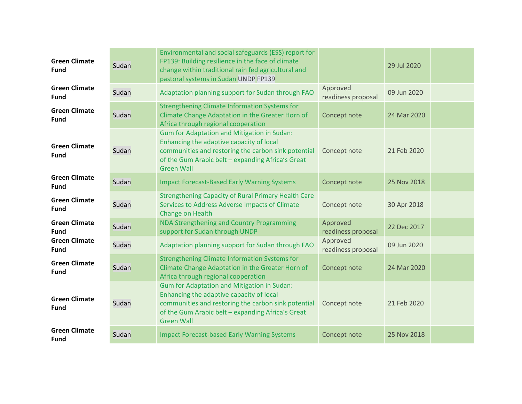| <b>Green Climate</b><br><b>Fund</b> | Sudan | Environmental and social safeguards (ESS) report for<br>FP139: Building resilience in the face of climate<br>change within traditional rain fed agricultural and<br>pastoral systems in Sudan UNDP FP139                        |                                | 29 Jul 2020 |  |
|-------------------------------------|-------|---------------------------------------------------------------------------------------------------------------------------------------------------------------------------------------------------------------------------------|--------------------------------|-------------|--|
| <b>Green Climate</b><br><b>Fund</b> | Sudan | Adaptation planning support for Sudan through FAO                                                                                                                                                                               | Approved<br>readiness proposal | 09 Jun 2020 |  |
| <b>Green Climate</b><br><b>Fund</b> | Sudan | <b>Strengthening Climate Information Systems for</b><br>Climate Change Adaptation in the Greater Horn of<br>Africa through regional cooperation                                                                                 | Concept note                   | 24 Mar 2020 |  |
| <b>Green Climate</b><br><b>Fund</b> | Sudan | <b>Gum for Adaptation and Mitigation in Sudan:</b><br>Enhancing the adaptive capacity of local<br>communities and restoring the carbon sink potential<br>of the Gum Arabic belt - expanding Africa's Great<br><b>Green Wall</b> | Concept note                   | 21 Feb 2020 |  |
| <b>Green Climate</b><br><b>Fund</b> | Sudan | <b>Impact Forecast-Based Early Warning Systems</b>                                                                                                                                                                              | Concept note                   | 25 Nov 2018 |  |
| <b>Green Climate</b><br><b>Fund</b> | Sudan | <b>Strengthening Capacity of Rural Primary Health Care</b><br>Services to Address Adverse Impacts of Climate<br>Change on Health                                                                                                | Concept note                   | 30 Apr 2018 |  |
| <b>Green Climate</b><br>Fund        | Sudan | NDA Strengthening and Country Programming<br>support for Sudan through UNDP                                                                                                                                                     | Approved<br>readiness proposal | 22 Dec 2017 |  |
| <b>Green Climate</b><br><b>Fund</b> | Sudan | Adaptation planning support for Sudan through FAO                                                                                                                                                                               | Approved<br>readiness proposal | 09 Jun 2020 |  |
| <b>Green Climate</b><br><b>Fund</b> | Sudan | <b>Strengthening Climate Information Systems for</b><br>Climate Change Adaptation in the Greater Horn of<br>Africa through regional cooperation                                                                                 | Concept note                   | 24 Mar 2020 |  |
| <b>Green Climate</b><br><b>Fund</b> | Sudan | <b>Gum for Adaptation and Mitigation in Sudan:</b><br>Enhancing the adaptive capacity of local<br>communities and restoring the carbon sink potential<br>of the Gum Arabic belt - expanding Africa's Great<br><b>Green Wall</b> | Concept note                   | 21 Feb 2020 |  |
| <b>Green Climate</b><br><b>Fund</b> | Sudan | <b>Impact Forecast-based Early Warning Systems</b>                                                                                                                                                                              | Concept note                   | 25 Nov 2018 |  |